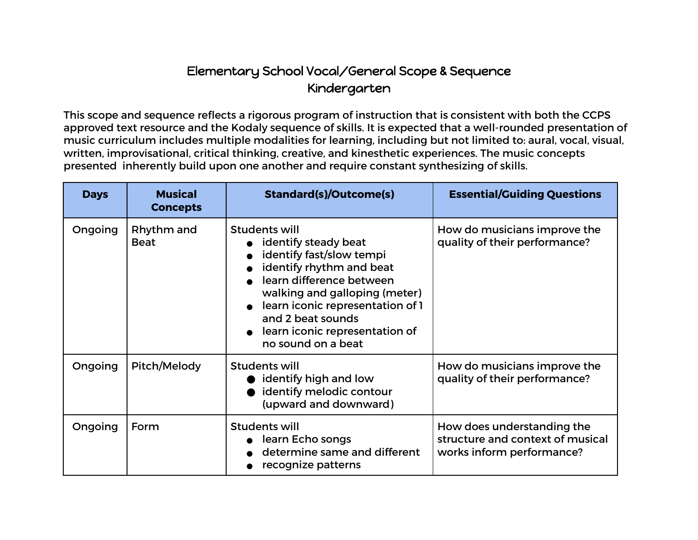## Elementary School Vocal/General Scope & Sequence Kindergarten

This scope and sequence reflects a rigorous program of instruction that is consistent with both the CCPS approved text resource and the Kodaly sequence of skills. It is expected that a well-rounded presentation of music curriculum includes multiple modalities for learning, including but not limited to: aural, vocal, visual, written, improvisational, critical thinking, creative, and kinesthetic experiences. The music concepts presented inherently build upon one another and require constant synthesizing of skills.

| <b>Days</b> | <b>Musical</b><br><b>Concepts</b> | <b>Standard(s)/Outcome(s)</b>                                                                                                                                                                                                                                                        | <b>Essential/Guiding Questions</b>                                                          |
|-------------|-----------------------------------|--------------------------------------------------------------------------------------------------------------------------------------------------------------------------------------------------------------------------------------------------------------------------------------|---------------------------------------------------------------------------------------------|
| Ongoing     | Rhythm and<br><b>Beat</b>         | <b>Students will</b><br>identify steady beat<br>identify fast/slow tempi<br>identify rhythm and beat<br>learn difference between<br>walking and galloping (meter)<br>• learn iconic representation of 1<br>and 2 beat sounds<br>learn iconic representation of<br>no sound on a beat | How do musicians improve the<br>quality of their performance?                               |
| Ongoing     | Pitch/Melody                      | <b>Students will</b><br>identify high and low<br>identify melodic contour<br>(upward and downward)                                                                                                                                                                                   | How do musicians improve the<br>quality of their performance?                               |
| Ongoing     | Form                              | Students will<br>• learn Echo songs<br>determine same and different<br>recognize patterns                                                                                                                                                                                            | How does understanding the<br>structure and context of musical<br>works inform performance? |